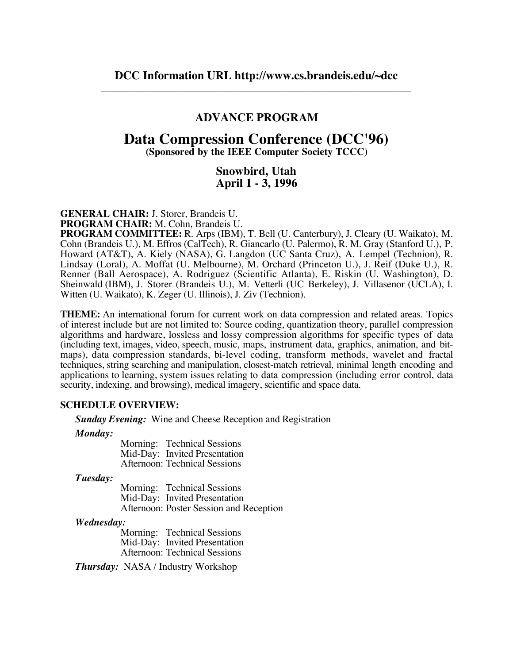# **ADVANCE PROGRAM**

# **Data Compression Conference (DCC'96)**

**(Sponsored by the IEEE Computer Society TCCC)**

# **Snowbird, Utah April 1 - 3, 1996**

**GENERAL CHAIR:** J. Storer, Brandeis U.

**PROGRAM CHAIR:** M. Cohn, Brandeis U.

**PROGRAM COMMITTEE:** R. Arps (IBM), T. Bell (U. Canterbury), J. Cleary (U. Waikato), M. Cohn (Brandeis U.), M. Effros (CalTech), R. Giancarlo (U. Palermo), R. M. Gray (Stanford U.), P. Howard (AT&T), A. Kiely (NASA), G. Langdon (UC Santa Cruz), A. Lempel (Technion), R. Lindsay (Loral), A. Moffat (U. Melbourne), M. Orchard (Princeton U.), J. Reif (Duke U.), R. Renner (Ball Aerospace), A. Rodriguez (Scientific Atlanta), E. Riskin (U. Washington), D. Sheinwald (IBM), J. Storer (Brandeis U.), M. Vetterli (UC Berkeley), J. Villasenor (UCLA), I. Witten (U. Waikato), K. Zeger (U. Illinois), J. Ziv (Technion).

**THEME:** An international forum for current work on data compression and related areas. Topics of interest include but are not limited to: Source coding, quantization theory, parallel compression algorithms and hardware, lossless and lossy compression algorithms for specific types of data (including text, images, video, speech, music, maps, instrument data, graphics, animation, and bitmaps), data compression standards, bi-level coding, transform methods, wavelet and fractal techniques, string searching and manipulation, closest-match retrieval, minimal length encoding and applications to learning, system issues relating to data compression (including error control, data security, indexing, and browsing), medical imagery, scientific and space data.

### **SCHEDULE OVERVIEW:**

*Sunday Evening:* Wine and Cheese Reception and Registration

*Monday:*

Morning: Technical Sessions Mid-Day: Invited Presentation Afternoon: Technical Sessions

*Tuesday:*

Morning: Technical Sessions Mid-Day: Invited Presentation Afternoon: Poster Session and Reception

#### *Wednesday:*

Morning: Technical Sessions Mid-Day: Invited Presentation Afternoon: Technical Sessions

*Thursday:* NASA / Industry Workshop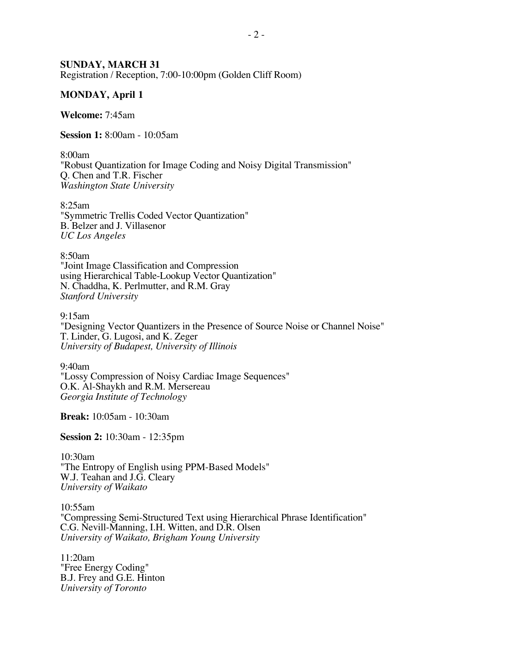### **SUNDAY, MARCH 31**

Registration / Reception, 7:00-10:00pm (Golden Cliff Room)

### **MONDAY, April 1**

**Welcome:** 7:45am

**Session 1:** 8:00am - 10:05am

8:00am "Robust Quantization for Image Coding and Noisy Digital Transmission" Q. Chen and T.R. Fischer *Washington State University*

8:25am "Symmetric Trellis Coded Vector Quantization" B. Belzer and J. Villasenor *UC Los Angeles*

8:50am "Joint Image Classification and Compression using Hierarchical Table-Lookup Vector Quantization" N. Chaddha, K. Perlmutter, and R.M. Gray *Stanford University*

9:15am "Designing Vector Quantizers in the Presence of Source Noise or Channel Noise" T. Linder, G. Lugosi, and K. Zeger *University of Budapest, University of Illinois*

9:40am "Lossy Compression of Noisy Cardiac Image Sequences" O.K. Al-Shaykh and R.M. Mersereau *Georgia Institute of Technology*

**Break:** 10:05am - 10:30am

**Session 2:** 10:30am - 12:35pm

10:30am "The Entropy of English using PPM-Based Models" W.J. Teahan and J.G. Cleary *University of Waikato*

10:55am "Compressing Semi-Structured Text using Hierarchical Phrase Identification" C.G. Nevill-Manning, I.H. Witten, and D.R. Olsen *University of Waikato, Brigham Young University*

11:20am "Free Energy Coding" B.J. Frey and G.E. Hinton *University of Toronto*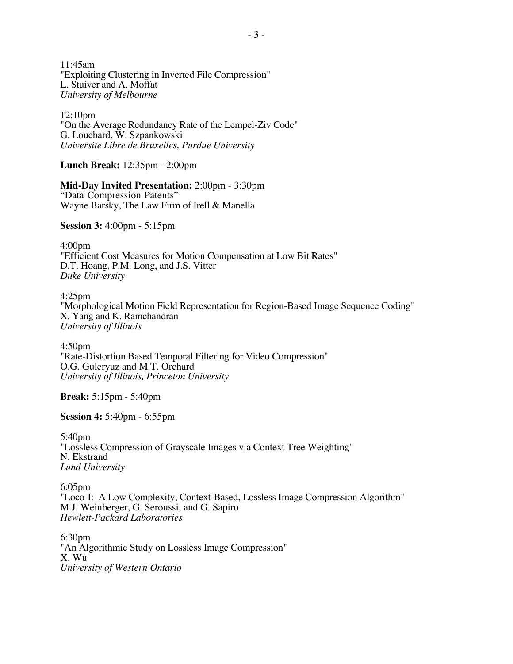11:45am "Exploiting Clustering in Inverted File Compression" L. Stuiver and A. Moffat *University of Melbourne*

12:10pm "On the Average Redundancy Rate of the Lempel-Ziv Code" G. Louchard, W. Szpankowski *Universite Libre de Bruxelles, Purdue University*

**Lunch Break:** 12:35pm - 2:00pm

**Mid-Day Invited Presentation:** 2:00pm - 3:30pm

"Data Compression Patents" Wayne Barsky, The Law Firm of Irell & Manella

**Session 3:** 4:00pm - 5:15pm

4:00pm "Efficient Cost Measures for Motion Compensation at Low Bit Rates" D.T. Hoang, P.M. Long, and J.S. Vitter *Duke University*

4:25pm "Morphological Motion Field Representation for Region-Based Image Sequence Coding" X. Yang and K. Ramchandran *University of Illinois*

4:50pm "Rate-Distortion Based Temporal Filtering for Video Compression" O.G. Guleryuz and M.T. Orchard *University of Illinois, Princeton University*

**Break:** 5:15pm - 5:40pm

**Session 4:** 5:40pm - 6:55pm

5:40pm "Lossless Compression of Grayscale Images via Context Tree Weighting" N. Ekstrand *Lund University*

6:05pm "Loco-I: A Low Complexity, Context-Based, Lossless Image Compression Algorithm" M.J. Weinberger, G. Seroussi, and G. Sapiro *Hewlett-Packard Laboratories*

6:30pm "An Algorithmic Study on Lossless Image Compression" X. Wu *University of Western Ontario*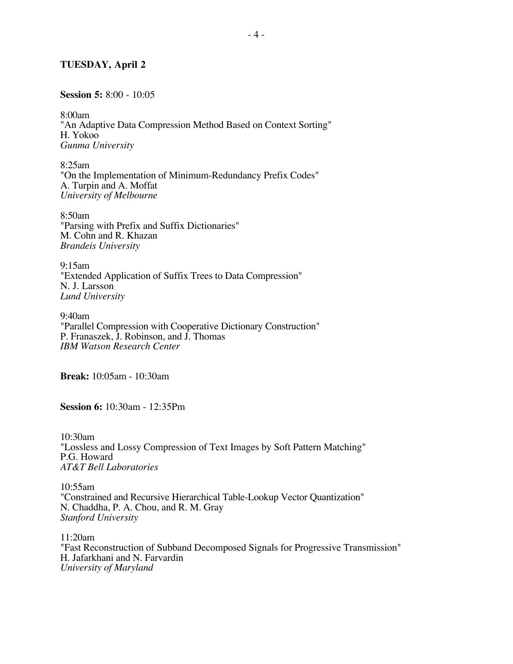### **TUESDAY, April 2**

### **Session 5:** 8:00 - 10:05

8:00am "An Adaptive Data Compression Method Based on Context Sorting" H. Yokoo *Gunma University*

8:25am "On the Implementation of Minimum-Redundancy Prefix Codes" A. Turpin and A. Moffat *University of Melbourne*

8:50am "Parsing with Prefix and Suffix Dictionaries" M. Cohn and R. Khazan *Brandeis University*

9:15am "Extended Application of Suffix Trees to Data Compression" N. J. Larsson *Lund University*

9:40am "Parallel Compression with Cooperative Dictionary Construction" P. Franaszek, J. Robinson, and J. Thomas *IBM Watson Research Center*

**Break:** 10:05am - 10:30am

**Session 6:** 10:30am - 12:35Pm

10:30am "Lossless and Lossy Compression of Text Images by Soft Pattern Matching" P.G. Howard *AT&T Bell Laboratories*

10:55am "Constrained and Recursive Hierarchical Table-Lookup Vector Quantization" N. Chaddha, P. A. Chou, and R. M. Gray *Stanford University*

11:20am "Fast Reconstruction of Subband Decomposed Signals for Progressive Transmission" H. Jafarkhani and N. Farvardin *University of Maryland*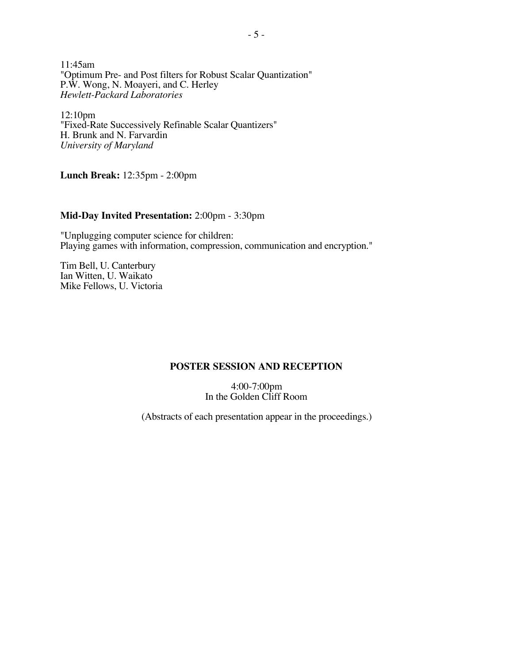11:45am "Optimum Pre- and Post filters for Robust Scalar Quantization" P.W. Wong, N. Moayeri, and C. Herley *Hewlett-Packard Laboratories*

12:10pm "Fixed-Rate Successively Refinable Scalar Quantizers" H. Brunk and N. Farvardin *University of Maryland*

**Lunch Break:** 12:35pm - 2:00pm

### **Mid-Day Invited Presentation:** 2:00pm - 3:30pm

"Unplugging computer science for children: Playing games with information, compression, communication and encryption."

Tim Bell, U. Canterbury Ian Witten, U. Waikato Mike Fellows, U. Victoria

### **POSTER SESSION AND RECEPTION**

4:00-7:00pm In the Golden Cliff Room

(Abstracts of each presentation appear in the proceedings.)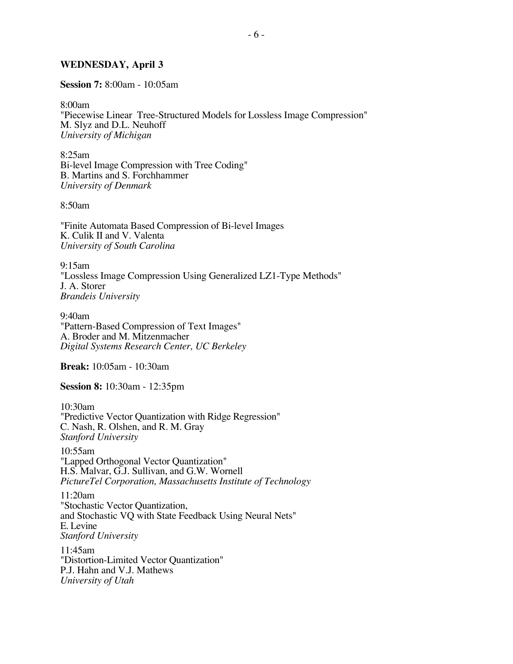### **WEDNESDAY, April 3**

**Session 7:** 8:00am - 10:05am

8:00am

"Piecewise Linear Tree-Structured Models for Lossless Image Compression" M. Slyz and D.L. Neuhoff *University of Michigan*

8:25am Bi-level Image Compression with Tree Coding" B. Martins and S. Forchhammer *University of Denmark*

8:50am

"Finite Automata Based Compression of Bi-level Images K. Culik II and V. Valenta *University of South Carolina*

9:15am "Lossless Image Compression Using Generalized LZ1-Type Methods" J. A. Storer *Brandeis University*

9:40am "Pattern-Based Compression of Text Images" A. Broder and M. Mitzenmacher *Digital Systems Research Center, UC Berkeley*

**Break:** 10:05am - 10:30am

**Session 8:** 10:30am - 12:35pm

10:30am "Predictive Vector Quantization with Ridge Regression" C. Nash, R. Olshen, and R. M. Gray *Stanford University*

10:55am "Lapped Orthogonal Vector Quantization" H.S. Malvar, G.J. Sullivan, and G.W. Wornell *PictureTel Corporation, Massachusetts Institute of Technology*

11:20am "Stochastic Vector Quantization, and Stochastic VQ with State Feedback Using Neural Nets" E. Levine *Stanford University*

11:45am "Distortion-Limited Vector Quantization" P.J. Hahn and V.J. Mathews *University of Utah*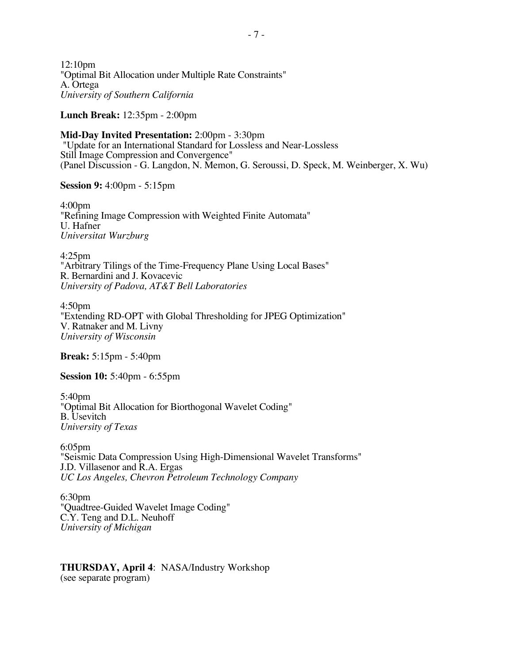12:10pm "Optimal Bit Allocation under Multiple Rate Constraints" A. Ortega *University of Southern California*

**Lunch Break:** 12:35pm - 2:00pm

**Mid-Day Invited Presentation:** 2:00pm - 3:30pm "Update for an International Standard for Lossless and Near-Lossless Still Image Compression and Convergence" (Panel Discussion - G. Langdon, N. Memon, G. Seroussi, D. Speck, M. Weinberger, X. Wu)

**Session 9:** 4:00pm - 5:15pm

4:00pm "Refining Image Compression with Weighted Finite Automata" U. Hafner *Universitat Wurzburg*

4:25pm "Arbitrary Tilings of the Time-Frequency Plane Using Local Bases" R. Bernardini and J. Kovacevic *University of Padova, AT&T Bell Laboratories*

4:50pm "Extending RD-OPT with Global Thresholding for JPEG Optimization" V. Ratnaker and M. Livny *University of Wisconsin*

**Break:** 5:15pm - 5:40pm

**Session 10:** 5:40pm - 6:55pm

5:40pm "Optimal Bit Allocation for Biorthogonal Wavelet Coding" B. Usevitch *University of Texas*

6:05pm "Seismic Data Compression Using High-Dimensional Wavelet Transforms" J.D. Villasenor and R.A. Ergas *UC Los Angeles, Chevron Petroleum Technology Company*

6:30pm "Quadtree-Guided Wavelet Image Coding" C.Y. Teng and D.L. Neuhoff *University of Michigan*

### **THURSDAY, April 4**: NASA/Industry Workshop (see separate program)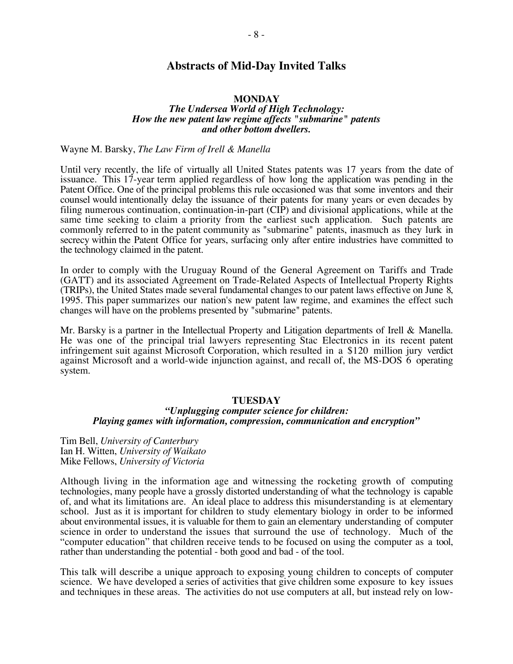# **Abstracts of Mid-Day Invited Talks**

### **MONDAY**

### *The Undersea World of High Technology: How the new patent law regime affects "submarine" patents and other bottom dwellers.*

Wayne M. Barsky, *The Law Firm of Irell & Manella*

Until very recently, the life of virtually all United States patents was 17 years from the date of issuance. This 17-year term applied regardless of how long the application was pending in the Patent Office. One of the principal problems this rule occasioned was that some inventors and their counsel would intentionally delay the issuance of their patents for many years or even decades by filing numerous continuation, continuation-in-part (CIP) and divisional applications, while at the same time seeking to claim a priority from the earliest such application. Such patents are commonly referred to in the patent community as "submarine" patents, inasmuch as they lurk in secrecy within the Patent Office for years, surfacing only after entire industries have committed to the technology claimed in the patent.

In order to comply with the Uruguay Round of the General Agreement on Tariffs and Trade (GATT) and its associated Agreement on Trade-Related Aspects of Intellectual Property Rights (TRIPs), the United States made several fundamental changes to our patent laws effective on June 8, 1995. This paper summarizes our nation's new patent law regime, and examines the effect such changes will have on the problems presented by "submarine" patents.

Mr. Barsky is a partner in the Intellectual Property and Litigation departments of Irell & Manella. He was one of the principal trial lawyers representing Stac Electronics in its recent patent infringement suit against Microsoft Corporation, which resulted in a \$120 million jury verdict against Microsoft and a world-wide injunction against, and recall of, the MS-DOS 6 operating system.

### **TUESDAY**

### *"Unplugging computer science for children: Playing games with information, compression, communication and encryption"*

Tim Bell, *University of Canterbury* Ian H. Witten, *University of Waikato* Mike Fellows, *University of Victoria*

Although living in the information age and witnessing the rocketing growth of computing technologies, many people have a grossly distorted understanding of what the technology is capable of, and what its limitations are. An ideal place to address this misunderstanding is at elementary school. Just as it is important for children to study elementary biology in order to be informed about environmental issues, it is valuable for them to gain an elementary understanding of computer science in order to understand the issues that surround the use of technology. Much of the "computer education" that children receive tends to be focused on using the computer as a tool, rather than understanding the potential - both good and bad - of the tool.

This talk will describe a unique approach to exposing young children to concepts of computer science. We have developed a series of activities that give children some exposure to key issues and techniques in these areas. The activities do not use computers at all, but instead rely on low